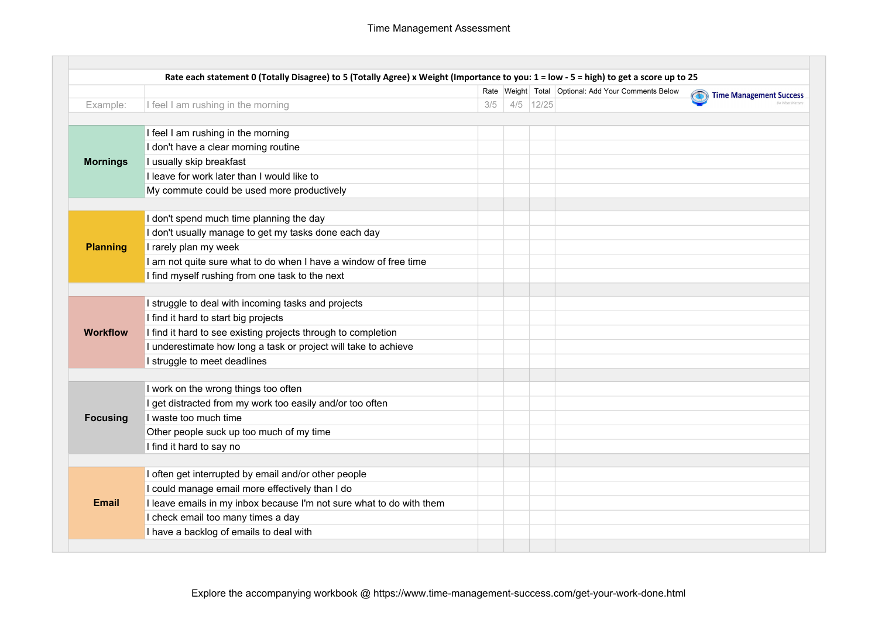|                 |                                                                      |     |             | Rate Weight Total Optional: Add Your Comments Below | $\bigcirc$<br><b>Time Management Success</b> |
|-----------------|----------------------------------------------------------------------|-----|-------------|-----------------------------------------------------|----------------------------------------------|
| Example:        | I feel I am rushing in the morning                                   | 3/5 | $4/5$ 12/25 |                                                     |                                              |
| <b>Mornings</b> | I feel I am rushing in the morning                                   |     |             |                                                     |                                              |
|                 | I don't have a clear morning routine                                 |     |             |                                                     |                                              |
|                 | I usually skip breakfast                                             |     |             |                                                     |                                              |
|                 | I leave for work later than I would like to                          |     |             |                                                     |                                              |
|                 | My commute could be used more productively                           |     |             |                                                     |                                              |
|                 | I don't spend much time planning the day                             |     |             |                                                     |                                              |
|                 | I don't usually manage to get my tasks done each day                 |     |             |                                                     |                                              |
| <b>Planning</b> | I rarely plan my week                                                |     |             |                                                     |                                              |
|                 | I am not quite sure what to do when I have a window of free time     |     |             |                                                     |                                              |
|                 | I find myself rushing from one task to the next                      |     |             |                                                     |                                              |
|                 |                                                                      |     |             |                                                     |                                              |
|                 | I struggle to deal with incoming tasks and projects                  |     |             |                                                     |                                              |
|                 | I find it hard to start big projects                                 |     |             |                                                     |                                              |
| <b>Workflow</b> | I find it hard to see existing projects through to completion        |     |             |                                                     |                                              |
|                 | I underestimate how long a task or project will take to achieve      |     |             |                                                     |                                              |
|                 | I struggle to meet deadlines                                         |     |             |                                                     |                                              |
|                 | I work on the wrong things too often                                 |     |             |                                                     |                                              |
| <b>Focusing</b> | I get distracted from my work too easily and/or too often            |     |             |                                                     |                                              |
|                 | I waste too much time                                                |     |             |                                                     |                                              |
|                 | Other people suck up too much of my time                             |     |             |                                                     |                                              |
|                 | I find it hard to say no                                             |     |             |                                                     |                                              |
|                 | I often get interrupted by email and/or other people                 |     |             |                                                     |                                              |
| <b>Email</b>    | I could manage email more effectively than I do                      |     |             |                                                     |                                              |
|                 | I leave emails in my inbox because I'm not sure what to do with them |     |             |                                                     |                                              |
|                 | I check email too many times a day                                   |     |             |                                                     |                                              |
|                 | I have a backlog of emails to deal with                              |     |             |                                                     |                                              |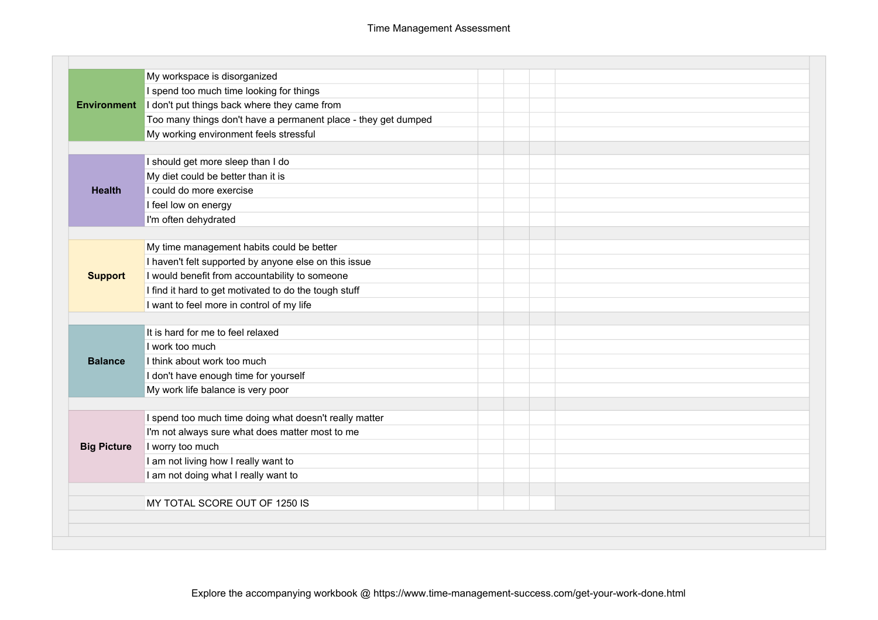| <b>Environment</b> | My workspace is disorganized                                   |  |  |
|--------------------|----------------------------------------------------------------|--|--|
|                    | I spend too much time looking for things                       |  |  |
|                    | I don't put things back where they came from                   |  |  |
|                    | Too many things don't have a permanent place - they get dumped |  |  |
|                    | My working environment feels stressful                         |  |  |
|                    |                                                                |  |  |
| <b>Health</b>      | I should get more sleep than I do                              |  |  |
|                    | My diet could be better than it is                             |  |  |
|                    | I could do more exercise                                       |  |  |
|                    | I feel low on energy                                           |  |  |
|                    | I'm often dehydrated                                           |  |  |
|                    |                                                                |  |  |
|                    | My time management habits could be better                      |  |  |
|                    | I haven't felt supported by anyone else on this issue          |  |  |
| <b>Support</b>     | I would benefit from accountability to someone                 |  |  |
|                    | I find it hard to get motivated to do the tough stuff          |  |  |
|                    | I want to feel more in control of my life                      |  |  |
|                    |                                                                |  |  |
|                    | It is hard for me to feel relaxed                              |  |  |
|                    | I work too much                                                |  |  |
| <b>Balance</b>     | I think about work too much                                    |  |  |
|                    | I don't have enough time for yourself                          |  |  |
|                    | My work life balance is very poor                              |  |  |
|                    |                                                                |  |  |
| <b>Big Picture</b> | I spend too much time doing what doesn't really matter         |  |  |
|                    | I'm not always sure what does matter most to me                |  |  |
|                    | I worry too much                                               |  |  |
|                    | I am not living how I really want to                           |  |  |
|                    | I am not doing what I really want to                           |  |  |
|                    | MY TOTAL SCORE OUT OF 1250 IS                                  |  |  |
|                    |                                                                |  |  |